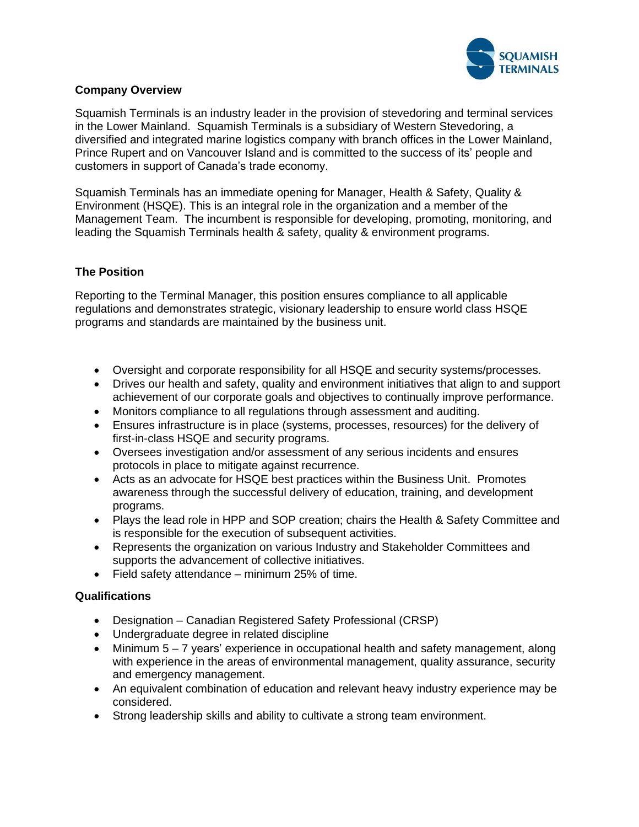

#### **Company Overview**

Squamish Terminals is an industry leader in the provision of stevedoring and terminal services in the Lower Mainland. Squamish Terminals is a subsidiary of Western Stevedoring, a diversified and integrated marine logistics company with branch offices in the Lower Mainland, Prince Rupert and on Vancouver Island and is committed to the success of its' people and customers in support of Canada's trade economy.

Squamish Terminals has an immediate opening for Manager, Health & Safety, Quality & Environment (HSQE). This is an integral role in the organization and a member of the Management Team. The incumbent is responsible for developing, promoting, monitoring, and leading the Squamish Terminals health & safety, quality & environment programs.

### **The Position**

Reporting to the Terminal Manager, this position ensures compliance to all applicable regulations and demonstrates strategic, visionary leadership to ensure world class HSQE programs and standards are maintained by the business unit.

- Oversight and corporate responsibility for all HSQE and security systems/processes.
- Drives our health and safety, quality and environment initiatives that align to and support achievement of our corporate goals and objectives to continually improve performance.
- Monitors compliance to all regulations through assessment and auditing.
- Ensures infrastructure is in place (systems, processes, resources) for the delivery of first-in-class HSQE and security programs.
- Oversees investigation and/or assessment of any serious incidents and ensures protocols in place to mitigate against recurrence.
- Acts as an advocate for HSQE best practices within the Business Unit. Promotes awareness through the successful delivery of education, training, and development programs.
- Plays the lead role in HPP and SOP creation; chairs the Health & Safety Committee and is responsible for the execution of subsequent activities.
- Represents the organization on various Industry and Stakeholder Committees and supports the advancement of collective initiatives.
- Field safety attendance minimum 25% of time.

# **Qualifications**

- Designation Canadian Registered Safety Professional (CRSP)
- Undergraduate degree in related discipline
- Minimum 5 7 years' experience in occupational health and safety management, along with experience in the areas of environmental management, quality assurance, security and emergency management.
- An equivalent combination of education and relevant heavy industry experience may be considered.
- Strong leadership skills and ability to cultivate a strong team environment.